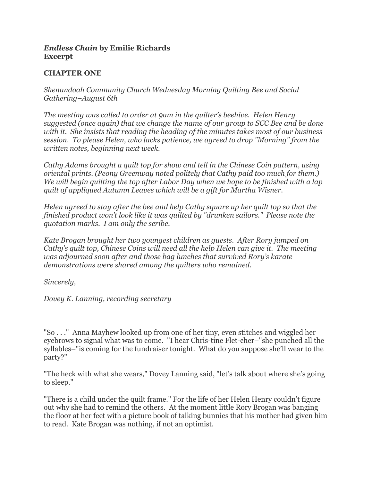## *Endless Chain* **by Emilie Richards Excerpt**

## **CHAPTER ONE**

*Shenandoah Community Church Wednesday Morning Quilting Bee and Social Gathering–August 6th*

*The meeting was called to order at 9am in the quilter's beehive. Helen Henry suggested (once again) that we change the name of our group to SCC Bee and be done with it. She insists that reading the heading of the minutes takes most of our business session. To please Helen, who lacks patience, we agreed to drop "Morning" from the written notes, beginning next week.*

*Cathy Adams brought a quilt top for show and tell in the Chinese Coin pattern, using oriental prints. (Peony Greenway noted politely that Cathy paid too much for them.) We will begin quilting the top after Labor Day when we hope to be finished with a lap quilt of appliqued Autumn Leaves which will be a gift for Martha Wisner.* 

*Helen agreed to stay after the bee and help Cathy square up her quilt top so that the finished product won't look like it was quilted by "drunken sailors." Please note the quotation marks. I am only the scribe.*

*Kate Brogan brought her two youngest children as guests. After Rory jumped on Cathy's quilt top, Chinese Coins will need all the help Helen can give it. The meeting was adjourned soon after and those bag lunches that survived Rory's karate demonstrations were shared among the quilters who remained.*

*Sincerely,*

*Dovey K. Lanning, recording secretary*

"So . . ." Anna Mayhew looked up from one of her tiny, even stitches and wiggled her eyebrows to signal what was to come. "I hear Chris-tine Flet-cher–"she punched all the syllables–"is coming for the fundraiser tonight. What do you suppose she'll wear to the party?"

"The heck with what she wears," Dovey Lanning said, "let's talk about where she's going to sleep."

"There is a child under the quilt frame." For the life of her Helen Henry couldn't figure out why she had to remind the others. At the moment little Rory Brogan was banging the floor at her feet with a picture book of talking bunnies that his mother had given him to read. Kate Brogan was nothing, if not an optimist.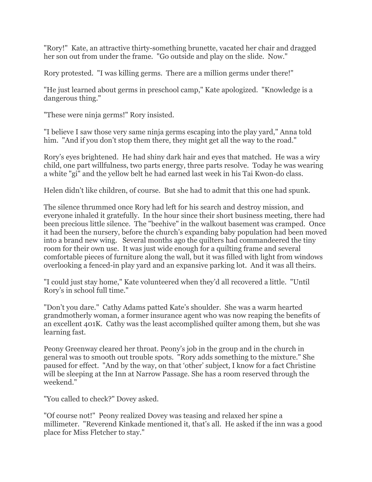"Rory!" Kate, an attractive thirty-something brunette, vacated her chair and dragged her son out from under the frame. "Go outside and play on the slide. Now."

Rory protested. "I was killing germs. There are a million germs under there!"

"He just learned about germs in preschool camp," Kate apologized. "Knowledge is a dangerous thing."

"These were ninja germs!" Rory insisted.

"I believe I saw those very same ninja germs escaping into the play yard," Anna told him. "And if you don't stop them there, they might get all the way to the road."

Rory's eyes brightened. He had shiny dark hair and eyes that matched. He was a wiry child, one part willfulness, two parts energy, three parts resolve. Today he was wearing a white "gi" and the yellow belt he had earned last week in his Tai Kwon-do class.

Helen didn't like children, of course. But she had to admit that this one had spunk.

The silence thrummed once Rory had left for his search and destroy mission, and everyone inhaled it gratefully. In the hour since their short business meeting, there had been precious little silence. The "beehive" in the walkout basement was cramped. Once it had been the nursery, before the church's expanding baby population had been moved into a brand new wing. Several months ago the quilters had commandeered the tiny room for their own use. It was just wide enough for a quilting frame and several comfortable pieces of furniture along the wall, but it was filled with light from windows overlooking a fenced-in play yard and an expansive parking lot. And it was all theirs.

"I could just stay home," Kate volunteered when they'd all recovered a little. "Until Rory's in school full time."

"Don't you dare." Cathy Adams patted Kate's shoulder. She was a warm hearted grandmotherly woman, a former insurance agent who was now reaping the benefits of an excellent 401K. Cathy was the least accomplished quilter among them, but she was learning fast.

Peony Greenway cleared her throat. Peony's job in the group and in the church in general was to smooth out trouble spots. "Rory adds something to the mixture." She paused for effect. "And by the way, on that 'other' subject, I know for a fact Christine will be sleeping at the Inn at Narrow Passage. She has a room reserved through the weekend."

"You called to check?" Dovey asked.

"Of course not!" Peony realized Dovey was teasing and relaxed her spine a millimeter. "Reverend Kinkade mentioned it, that's all. He asked if the inn was a good place for Miss Fletcher to stay."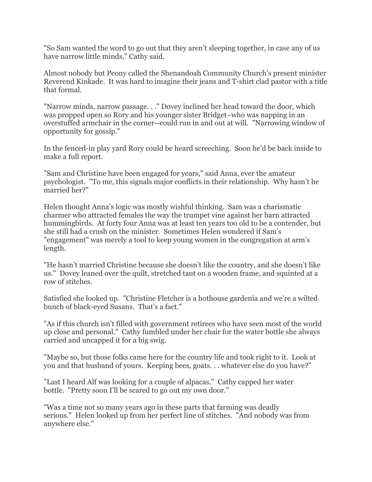"So Sam wanted the word to go out that they aren't sleeping together, in case any of us have narrow little minds," Cathy said.

Almost nobody but Peony called the Shenandoah Community Church's present minister Reverend Kinkade. It was hard to imagine their jeans and T-shirt clad pastor with a title that formal.

"Narrow minds, narrow passage. . ." Dovey inclined her head toward the door, which was propped open so Rory and his younger sister Bridget–who was napping in an overstuffed armchair in the corner--could run in and out at will. "Narrowing window of opportunity for gossip."

In the fenced-in play yard Rory could be heard screeching. Soon he'd be back inside to make a full report.

"Sam and Christine have been engaged for years," said Anna, ever the amateur psychologist. "To me, this signals major conflicts in their relationship. Why hasn't he married her?"

Helen thought Anna's logic was mostly wishful thinking. Sam was a charismatic charmer who attracted females the way the trumpet vine against her barn attracted hummingbirds. At forty four Anna was at least ten years too old to be a contender, but she still had a crush on the minister. Sometimes Helen wondered if Sam's "engagement" was merely a tool to keep young women in the congregation at arm's length.

"He hasn't married Christine because she doesn't like the country, and she doesn't like us." Dovey leaned over the quilt, stretched taut on a wooden frame, and squinted at a row of stitches.

Satisfied she looked up. "Christine Fletcher is a hothouse gardenia and we're a wilted bunch of black-eyed Susans. That's a fact."

"As if this church isn't filled with government retirees who have seen most of the world up close and personal." Cathy fumbled under her chair for the water bottle she always carried and uncapped it for a big swig.

"Maybe so, but those folks came here for the country life and took right to it. Look at you and that husband of yours. Keeping bees, goats. . . whatever else do you have?"

"Last I heard Alf was looking for a couple of alpacas." Cathy capped her water bottle. "Pretty soon I'll be scared to go out my own door."

"Was a time not so many years ago in these parts that farming was deadly serious." Helen looked up from her perfect line of stitches. "And nobody was from anywhere else."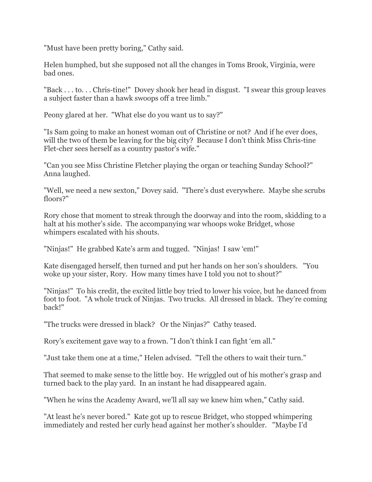"Must have been pretty boring," Cathy said.

Helen humphed, but she supposed not all the changes in Toms Brook, Virginia, were bad ones.

"Back . . . to. . . Chris-tine!" Dovey shook her head in disgust. "I swear this group leaves a subject faster than a hawk swoops off a tree limb."

Peony glared at her. "What else do you want us to say?"

"Is Sam going to make an honest woman out of Christine or not? And if he ever does, will the two of them be leaving for the big city? Because I don't think Miss Chris-tine Flet-cher sees herself as a country pastor's wife."

"Can you see Miss Christine Fletcher playing the organ or teaching Sunday School?" Anna laughed.

"Well, we need a new sexton," Dovey said. "There's dust everywhere. Maybe she scrubs floors?"

Rory chose that moment to streak through the doorway and into the room, skidding to a halt at his mother's side. The accompanying war whoops woke Bridget, whose whimpers escalated with his shouts.

"Ninjas!" He grabbed Kate's arm and tugged. "Ninjas! I saw 'em!"

Kate disengaged herself, then turned and put her hands on her son's shoulders. "You woke up your sister, Rory. How many times have I told you not to shout?"

"Ninjas!" To his credit, the excited little boy tried to lower his voice, but he danced from foot to foot. "A whole truck of Ninjas. Two trucks. All dressed in black. They're coming back!"

"The trucks were dressed in black? Or the Ninjas?" Cathy teased.

Rory's excitement gave way to a frown. "I don't think I can fight 'em all."

"Just take them one at a time," Helen advised. "Tell the others to wait their turn."

That seemed to make sense to the little boy. He wriggled out of his mother's grasp and turned back to the play yard. In an instant he had disappeared again.

"When he wins the Academy Award, we'll all say we knew him when," Cathy said.

"At least he's never bored." Kate got up to rescue Bridget, who stopped whimpering immediately and rested her curly head against her mother's shoulder. "Maybe I'd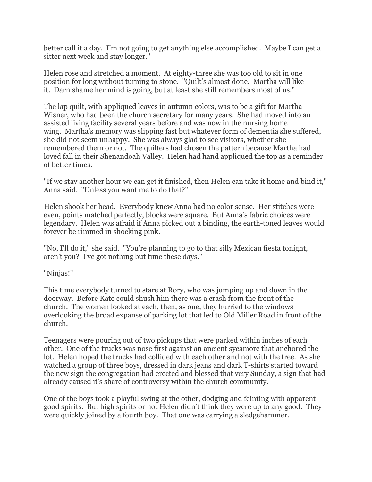better call it a day. I'm not going to get anything else accomplished. Maybe I can get a sitter next week and stay longer."

Helen rose and stretched a moment. At eighty-three she was too old to sit in one position for long without turning to stone. "Quilt's almost done. Martha will like it. Darn shame her mind is going, but at least she still remembers most of us."

The lap quilt, with appliqued leaves in autumn colors, was to be a gift for Martha Wisner, who had been the church secretary for many years. She had moved into an assisted living facility several years before and was now in the nursing home wing. Martha's memory was slipping fast but whatever form of dementia she suffered, she did not seem unhappy. She was always glad to see visitors, whether she remembered them or not. The quilters had chosen the pattern because Martha had loved fall in their Shenandoah Valley. Helen had hand appliqued the top as a reminder of better times.

"If we stay another hour we can get it finished, then Helen can take it home and bind it," Anna said. "Unless you want me to do that?"

Helen shook her head. Everybody knew Anna had no color sense. Her stitches were even, points matched perfectly, blocks were square. But Anna's fabric choices were legendary. Helen was afraid if Anna picked out a binding, the earth-toned leaves would forever be rimmed in shocking pink.

"No, I'll do it," she said. "You're planning to go to that silly Mexican fiesta tonight, aren't you? I've got nothing but time these days."

"Ninjas!"

This time everybody turned to stare at Rory, who was jumping up and down in the doorway. Before Kate could shush him there was a crash from the front of the church. The women looked at each, then, as one, they hurried to the windows overlooking the broad expanse of parking lot that led to Old Miller Road in front of the church.

Teenagers were pouring out of two pickups that were parked within inches of each other. One of the trucks was nose first against an ancient sycamore that anchored the lot. Helen hoped the trucks had collided with each other and not with the tree. As she watched a group of three boys, dressed in dark jeans and dark T-shirts started toward the new sign the congregation had erected and blessed that very Sunday, a sign that had already caused it's share of controversy within the church community.

One of the boys took a playful swing at the other, dodging and feinting with apparent good spirits. But high spirits or not Helen didn't think they were up to any good. They were quickly joined by a fourth boy. That one was carrying a sledgehammer.